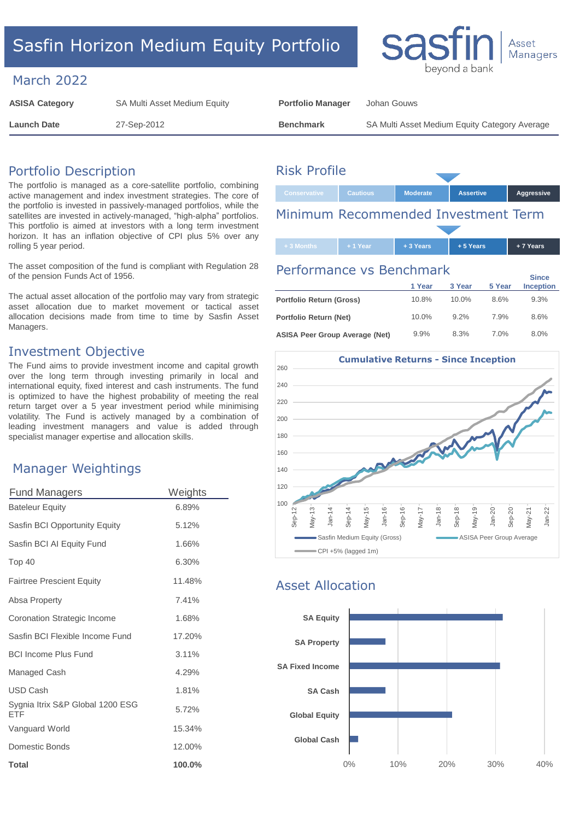# Sasfin Horizon Medium Equity Portfolio

### March 2022

| <b>ASISA Category</b> | SA Multi Asset Medium Equity | <b>Portfolio Manager</b> | Johan Gouws                                   |
|-----------------------|------------------------------|--------------------------|-----------------------------------------------|
| <b>Launch Date</b>    | 27-Sep-2012                  | <b>Benchmark</b>         | SA Multi Asset Medium Equity Category Average |

# Portfolio Description

The portfolio is managed as a core-satellite portfolio, combining active management and index investment strategies. The core of the portfolio is invested in passively-managed portfolios, while the satellites are invested in actively-managed, "high-alpha" portfolios. This portfolio is aimed at investors with a long term investment horizon. It has an inflation objective of CPI plus 5% over any rolling 5 year period.

The asset composition of the fund is compliant with Regulation 28 of the pension Funds Act of 1956.

The actual asset allocation of the portfolio may vary from strategic asset allocation due to market movement or tactical asset allocation decisions made from time to time by Sasfin Asset Managers.

### Investment Objective

The Fund aims to provide investment income and capital growth over the long term through investing primarily in local and international equity, fixed interest and cash instruments. The fund is optimized to have the highest probability of meeting the real return target over a 5 year investment period while minimising volatility. The Fund is actively managed by a combination of leading investment managers and value is added through specialist manager expertise and allocation skills.

## Manager Weightings

| <b>Fund Managers</b>                    | Weights   |
|-----------------------------------------|-----------|
| <b>Bateleur Equity</b>                  | 6.89%     |
| Sasfin BCI Opportunity Equity           | 5.12%     |
| Sasfin BCI AI Equity Fund               | 1.66%     |
| Top 40                                  | 6.30%     |
| <b>Fairtree Prescient Equity</b>        | 11.48%    |
| Absa Property                           | 7.41%     |
| Coronation Strategic Income             | 1.68%     |
| Sasfin BCI Flexible Income Fund         | 17.20%    |
| <b>BCI Income Plus Fund</b>             | 3.11%     |
| Managed Cash                            | 4.29%     |
| <b>USD Cash</b>                         | 1.81%     |
| Sygnia Itrix S&P Global 1200 ESG<br>FTF | 5.72%     |
| Vanguard World                          | 15.34%    |
| Domestic Bonds                          | 12.00%    |
| <b>Total</b>                            | $100.0\%$ |

# Risk Profile

# **Conservative Cautious Moderate Assertive Aggressive** Minimum Recommended Investment Term

Sa

bevond a bai

Asset Managers

| $+1$ Year<br>+ 3 Months | $+3$ Years | $+5$ Years | + 7 Years |
|-------------------------|------------|------------|-----------|

#### Performance vs Benchmark

|                                | 1 Year   | 3 Year   | 5 Year | <b>Since</b><br><b>Inception</b> |
|--------------------------------|----------|----------|--------|----------------------------------|
| Portfolio Return (Gross)       | 10.8%    | $10.0\%$ | 8.6%   | 9.3%                             |
| Portfolio Return (Net)         | $10.0\%$ | 92%      | 7.9%   | 8.6%                             |
| ASISA Peer Group Average (Net) | 9.9%     | 8.3%     | 7.0%   | 8.0%                             |



# Asset Allocation